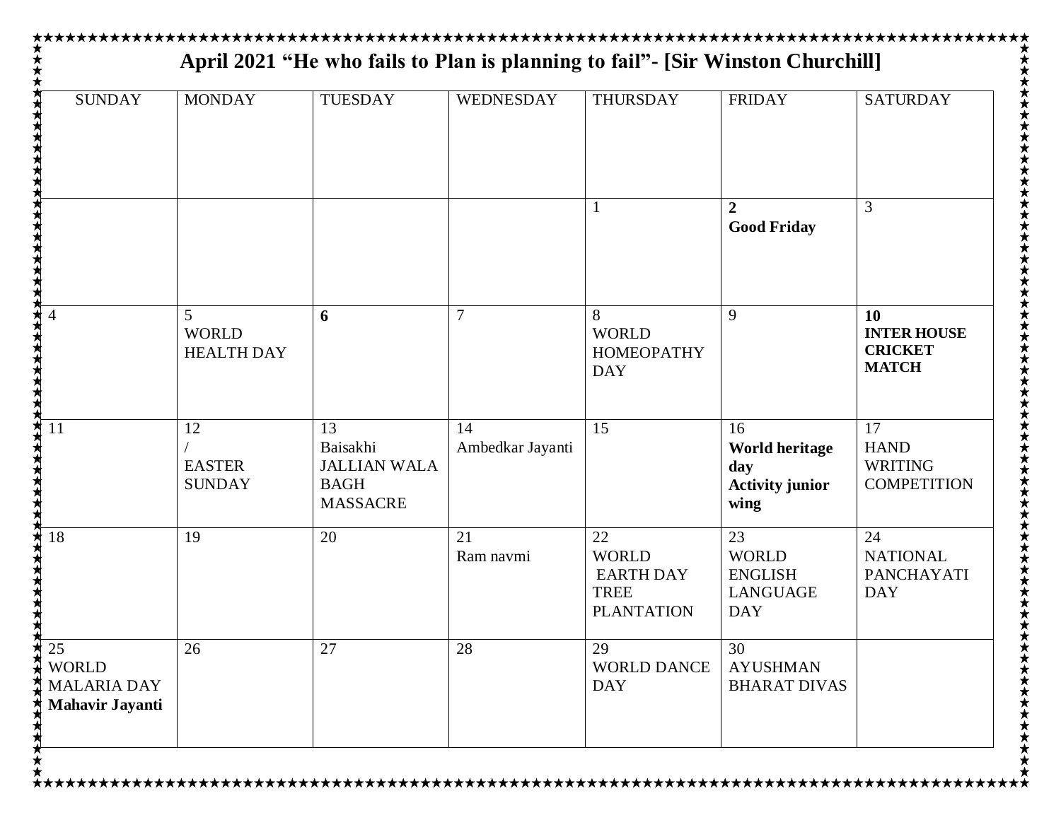| <b>SUNDAY</b>                                                      | <b>MONDAY</b>                                       | <b>TUESDAY</b>                                                          | <b>WEDNESDAY</b>       | <b>THURSDAY</b>                                                            | <b>FRIDAY</b>                                                         | <b>SATURDAY</b>                                                   |
|--------------------------------------------------------------------|-----------------------------------------------------|-------------------------------------------------------------------------|------------------------|----------------------------------------------------------------------------|-----------------------------------------------------------------------|-------------------------------------------------------------------|
|                                                                    |                                                     |                                                                         |                        |                                                                            | $\mathbf{2}$<br><b>Good Friday</b>                                    | 3                                                                 |
|                                                                    | $\mathfrak{S}$<br><b>WORLD</b><br><b>HEALTH DAY</b> | 6                                                                       | 7                      | 8<br><b>WORLD</b><br><b>HOMEOPATHY</b><br><b>DAY</b>                       | 9                                                                     | <b>10</b><br><b>INTER HOUSE</b><br><b>CRICKET</b><br><b>MATCH</b> |
| 11                                                                 | 12<br><b>EASTER</b><br><b>SUNDAY</b>                | 13<br>Baisakhi<br><b>JALLIAN WALA</b><br><b>BAGH</b><br><b>MASSACRE</b> | 14<br>Ambedkar Jayanti | 15                                                                         | 16<br><b>World heritage</b><br>day<br><b>Activity junior</b><br>wing  | 17<br><b>HAND</b><br><b>WRITING</b><br><b>COMPETITION</b>         |
| 18                                                                 | 19                                                  | 20                                                                      | 21<br>Ram navmi        | 22<br><b>WORLD</b><br><b>EARTH DAY</b><br><b>TREE</b><br><b>PLANTATION</b> | 23<br><b>WORLD</b><br><b>ENGLISH</b><br><b>LANGUAGE</b><br><b>DAY</b> | 24<br><b>NATIONAL</b><br><b>PANCHAYATI</b><br><b>DAY</b>          |
| 25<br><b>WORLD</b><br><b>MALARIA DAY</b><br><b>Mahavir Jayanti</b> | 26                                                  | 27                                                                      | 28                     | 29<br><b>WORLD DANCE</b><br><b>DAY</b>                                     | 30<br><b>AYUSHMAN</b><br><b>BHARAT DIVAS</b>                          |                                                                   |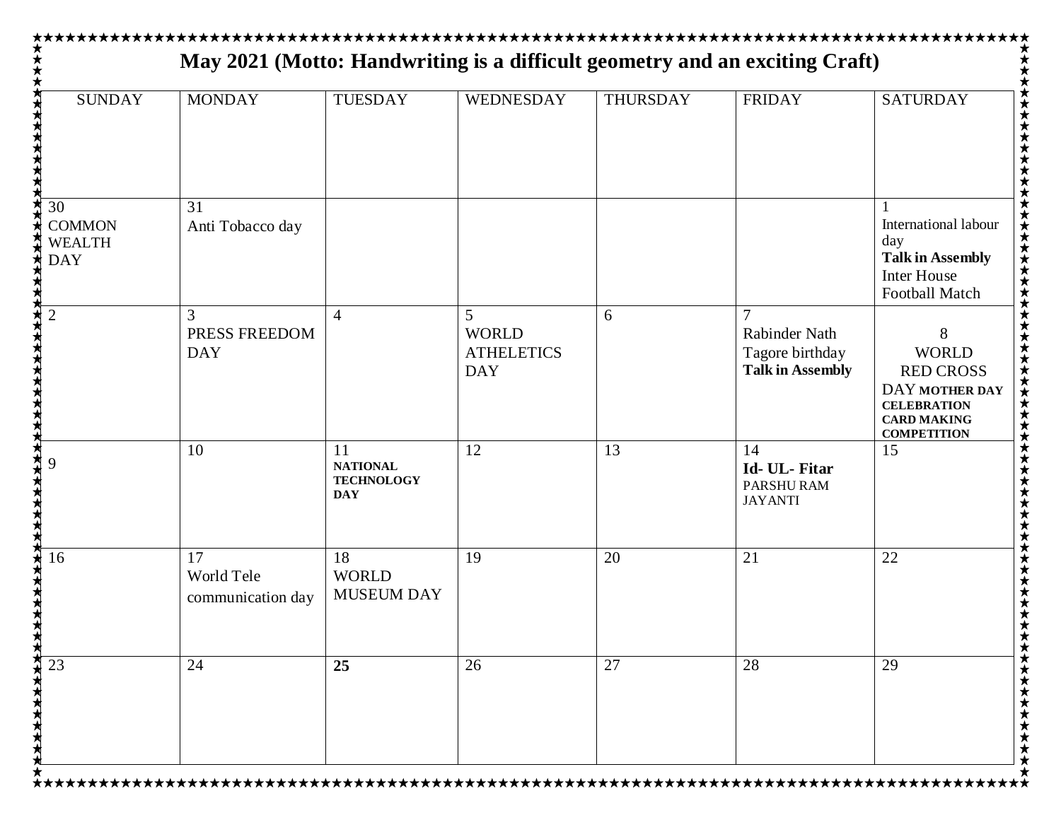| <b>SUNDAY</b>                                      | <b>MONDAY</b>                         | <b>TUESDAY</b>                                           | WEDNESDAY                                                         | <b>THURSDAY</b> | <b>FRIDAY</b>                                                                 | <b>SATURDAY</b>                                                                                                           |
|----------------------------------------------------|---------------------------------------|----------------------------------------------------------|-------------------------------------------------------------------|-----------------|-------------------------------------------------------------------------------|---------------------------------------------------------------------------------------------------------------------------|
| 30<br><b>COMMON</b><br><b>WEALTH</b><br><b>DAY</b> | 31<br>Anti Tobacco day                |                                                          |                                                                   |                 |                                                                               | International labour<br>day<br><b>Talk in Assembly</b><br><b>Inter House</b><br>Football Match                            |
| $\overline{2}$                                     | 3<br>PRESS FREEDOM<br><b>DAY</b>      | $\overline{4}$                                           | $\overline{5}$<br><b>WORLD</b><br><b>ATHELETICS</b><br><b>DAY</b> | 6               | $\overline{7}$<br>Rabinder Nath<br>Tagore birthday<br><b>Talk in Assembly</b> | 8<br><b>WORLD</b><br><b>RED CROSS</b><br>DAY MOTHER DAY<br><b>CELEBRATION</b><br><b>CARD MAKING</b><br><b>COMPETITION</b> |
|                                                    | 10                                    | 11<br><b>NATIONAL</b><br><b>TECHNOLOGY</b><br><b>DAY</b> | 12                                                                | 13              | 14<br>Id- UL- Fitar<br>PARSHURAM<br><b>JAYANTI</b>                            | 15                                                                                                                        |
| 16                                                 | 17<br>World Tele<br>communication day | 18<br><b>WORLD</b><br><b>MUSEUM DAY</b>                  | 19                                                                | 20              | 21                                                                            | 22                                                                                                                        |
| 23                                                 | 24                                    | 25                                                       | 26                                                                | 27              | 28                                                                            | 29                                                                                                                        |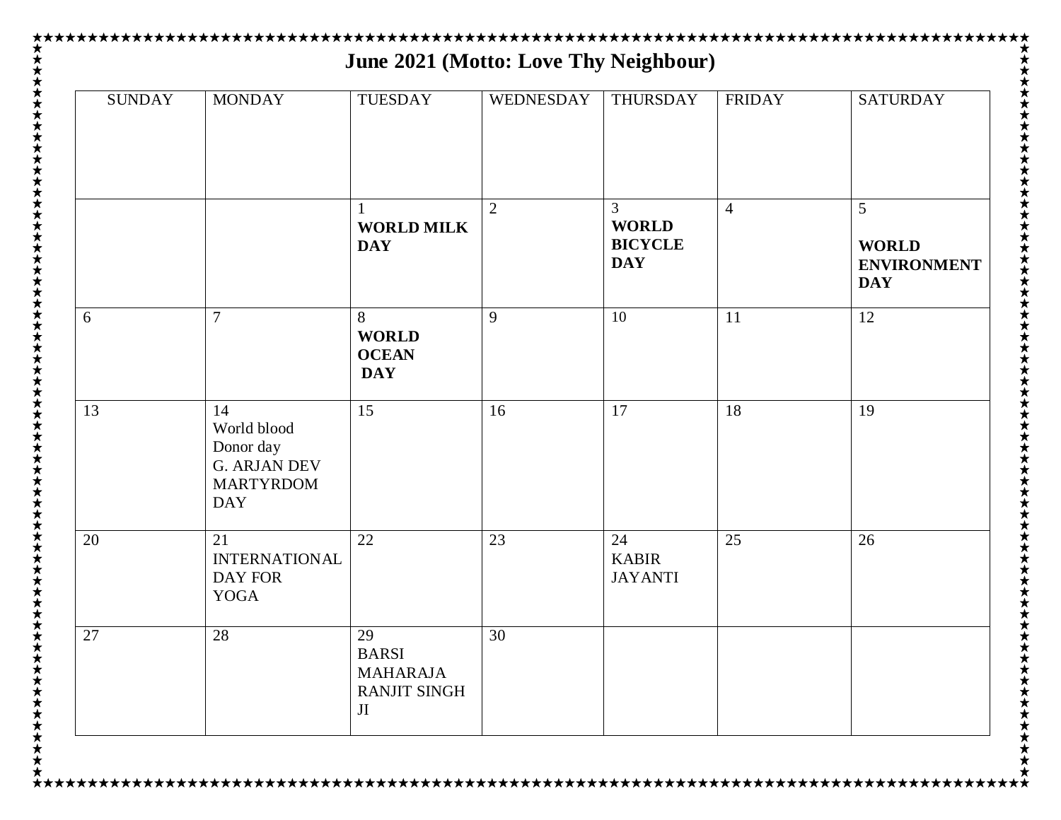| <b>SUNDAY</b> | <b>MONDAY</b>                                                                           | TUESDAY                                                            | WEDNESDAY      | THURSDAY                                          | <b>FRIDAY</b>  | <b>SATURDAY</b>                                       |
|---------------|-----------------------------------------------------------------------------------------|--------------------------------------------------------------------|----------------|---------------------------------------------------|----------------|-------------------------------------------------------|
|               |                                                                                         | <b>WORLD MILK</b><br><b>DAY</b>                                    | $\overline{2}$ | 3<br><b>WORLD</b><br><b>BICYCLE</b><br><b>DAY</b> | $\overline{4}$ | 5<br><b>WORLD</b><br><b>ENVIRONMENT</b><br><b>DAY</b> |
| 6             | 7                                                                                       | 8<br><b>WORLD</b><br><b>OCEAN</b><br><b>DAY</b>                    | 9              | 10                                                | 11             | 12                                                    |
| 13            | 14<br>World blood<br>Donor day<br><b>G. ARJAN DEV</b><br><b>MARTYRDOM</b><br><b>DAY</b> | 15                                                                 | 16             | 17                                                | 18             | 19                                                    |
| 20            | 21<br><b>INTERNATIONAL</b><br>DAY FOR<br><b>YOGA</b>                                    | 22                                                                 | 23             | 24<br><b>KABIR</b><br><b>JAYANTI</b>              | 25             | 26                                                    |
| 27            | 28                                                                                      | 29<br><b>BARSI</b><br><b>MAHARAJA</b><br><b>RANJIT SINGH</b><br>JI | 30             |                                                   |                |                                                       |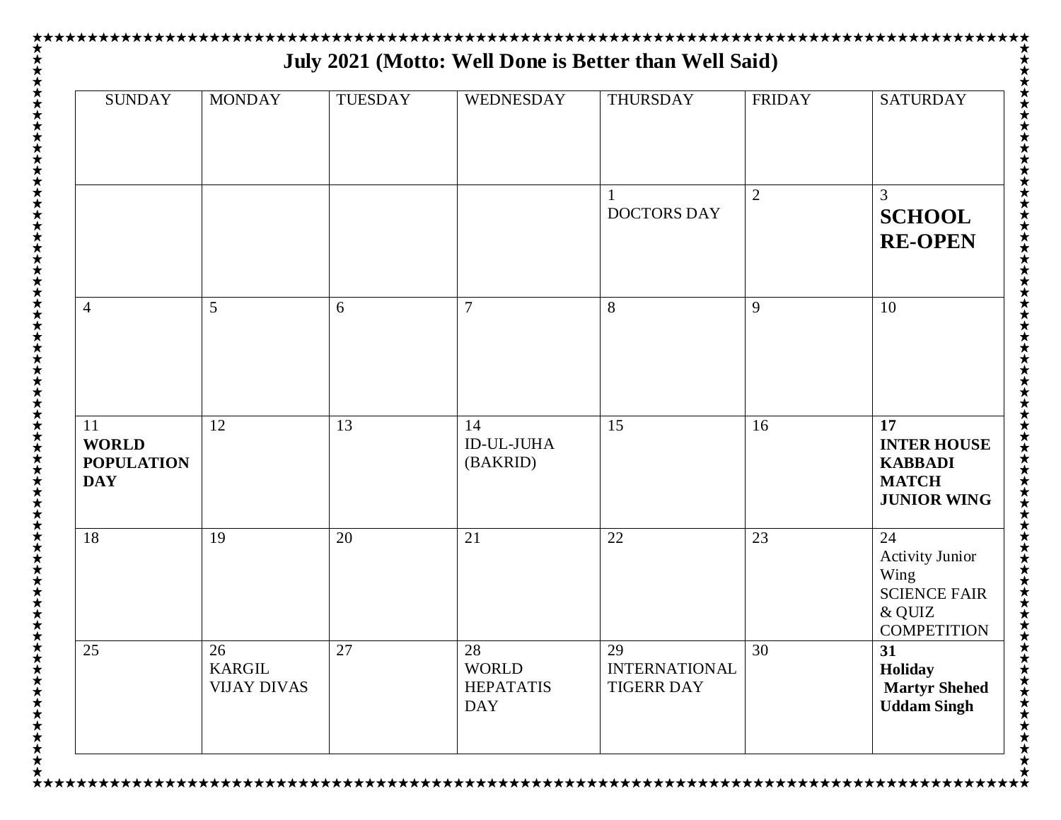| <b>SUNDAY</b>                                         | <b>MONDAY</b>                             | <b>TUESDAY</b> | <b>WEDNESDAY</b>                                     | <b>THURSDAY</b>                                 | <b>FRIDAY</b>  | <b>SATURDAY</b>                                                                             |
|-------------------------------------------------------|-------------------------------------------|----------------|------------------------------------------------------|-------------------------------------------------|----------------|---------------------------------------------------------------------------------------------|
|                                                       |                                           |                |                                                      | <b>DOCTORS DAY</b>                              | $\overline{2}$ | 3<br><b>SCHOOL</b><br><b>RE-OPEN</b>                                                        |
| $\overline{4}$                                        | 5                                         | 6              | $\overline{7}$                                       | 8                                               | 9              | 10                                                                                          |
| 11<br><b>WORLD</b><br><b>POPULATION</b><br><b>DAY</b> | 12                                        | 13             | 14<br><b>ID-UL-JUHA</b><br>(BAKRID)                  | 15                                              | 16             | 17<br><b>INTER HOUSE</b><br><b>KABBADI</b><br><b>MATCH</b><br><b>JUNIOR WING</b>            |
| 18                                                    | 19                                        | 20             | 21                                                   | 22                                              | 23             | 24<br><b>Activity Junior</b><br>Wing<br><b>SCIENCE FAIR</b><br>& QUIZ<br><b>COMPETITION</b> |
| 25                                                    | 26<br><b>KARGIL</b><br><b>VIJAY DIVAS</b> | 27             | 28<br><b>WORLD</b><br><b>HEPATATIS</b><br><b>DAY</b> | 29<br><b>INTERNATIONAL</b><br><b>TIGERR DAY</b> | 30             | 31<br>Holiday<br><b>Martyr Shehed</b><br><b>Uddam Singh</b>                                 |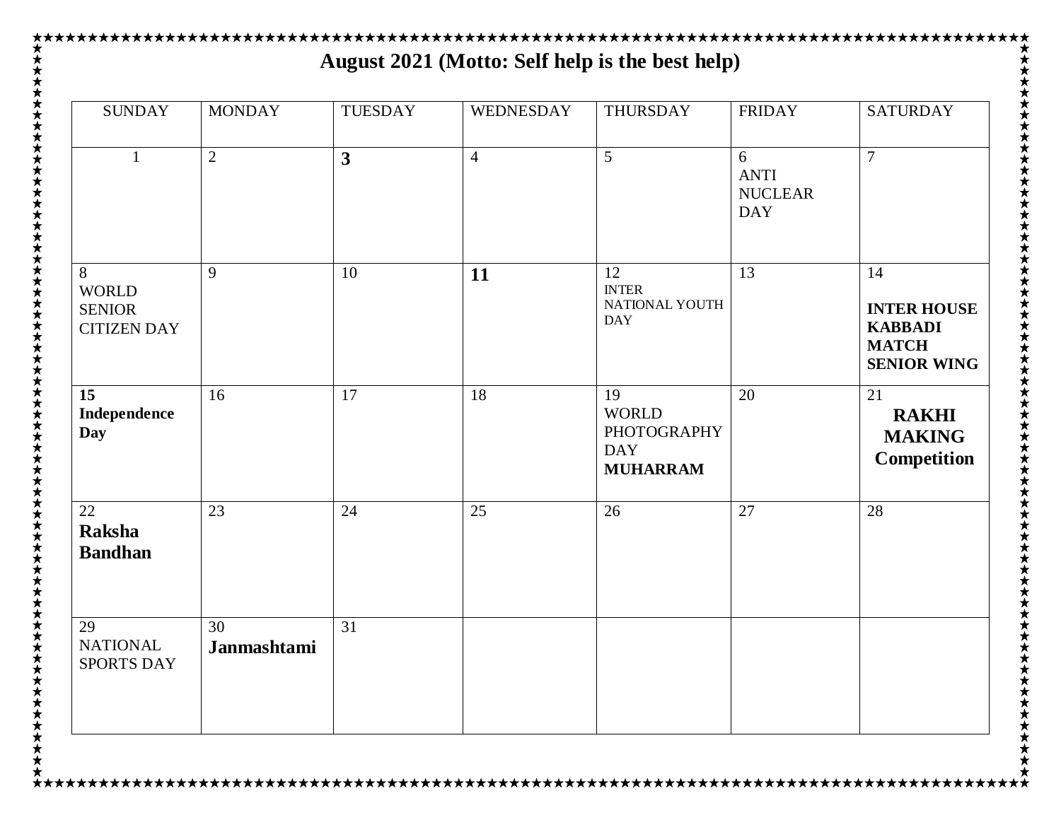## **★★★★★★★★★★★★★★★★★★★★★★★★★★★★★★★★★**★ **August 2021 (Motto: Self help is the best help)**

| <b>SUNDAY</b>                                            | <b>MONDAY</b>     | <b>TUESDAY</b>          | <b>WEDNESDAY</b> | THURSDAY                                                                  | <b>FRIDAY</b>                                    | <b>SATURDAY</b>                                                                  |
|----------------------------------------------------------|-------------------|-------------------------|------------------|---------------------------------------------------------------------------|--------------------------------------------------|----------------------------------------------------------------------------------|
| $\mathbf{1}$                                             | $\overline{2}$    | $\overline{\mathbf{3}}$ | $\overline{4}$   | $\overline{5}$                                                            | 6<br><b>ANTI</b><br><b>NUCLEAR</b><br><b>DAY</b> | $\overline{7}$                                                                   |
| 8<br><b>WORLD</b><br><b>SENIOR</b><br><b>CITIZEN DAY</b> | 9                 | 10                      | 11               | 12<br><b>INTER</b><br>NATIONAL YOUTH<br><b>DAY</b>                        | 13                                               | 14<br><b>INTER HOUSE</b><br><b>KABBADI</b><br><b>MATCH</b><br><b>SENIOR WING</b> |
| 15<br>Independence<br><b>Day</b>                         | 16                | 17                      | 18               | 19<br><b>WORLD</b><br><b>PHOTOGRAPHY</b><br><b>DAY</b><br><b>MUHARRAM</b> | 20                                               | 21<br><b>RAKHI</b><br><b>MAKING</b><br><b>Competition</b>                        |
| 22<br><b>Raksha</b><br><b>Bandhan</b>                    | 23                | 24                      | 25               | 26                                                                        | 27                                               | 28                                                                               |
| 29<br><b>NATIONAL</b><br><b>SPORTS DAY</b>               | 30<br>Janmashtami | $\overline{31}$         |                  |                                                                           |                                                  |                                                                                  |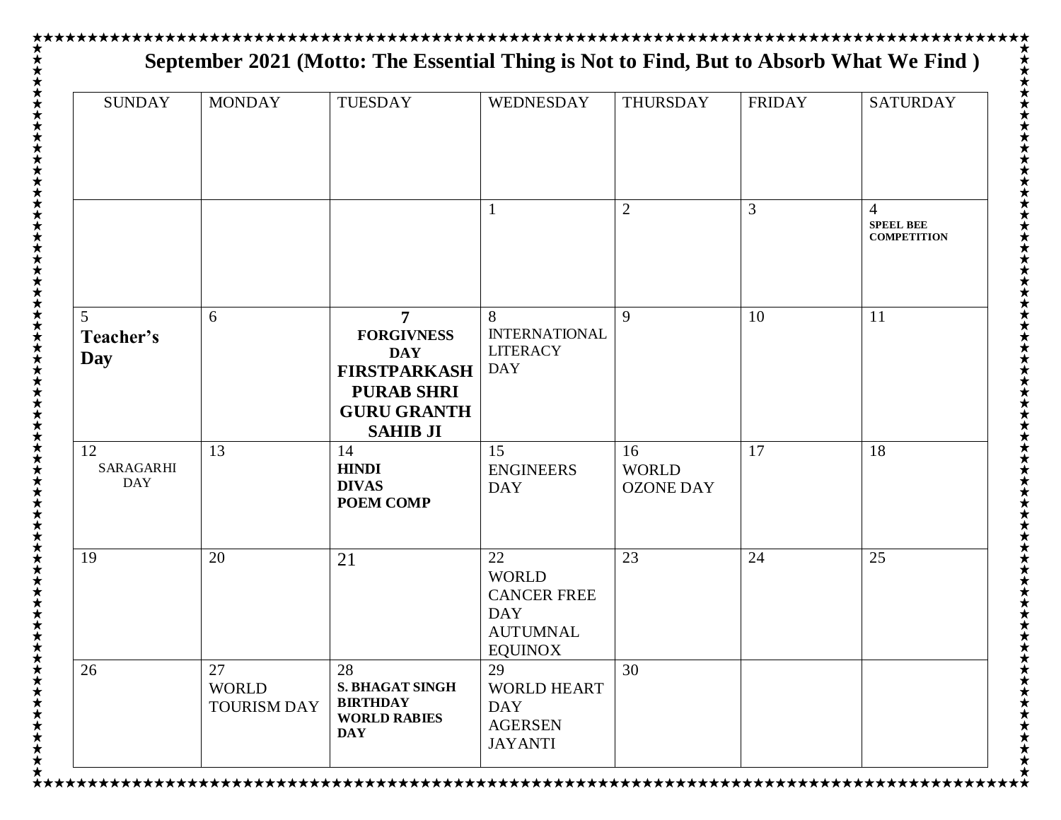## **September 2021 (Motto: The Essential Thing is Not to Find, But to Absorb What We Find )**

| <b>SUNDAY</b>                 | <b>MONDAY</b>                            | TUESDAY                                                                                                                   | WEDNESDAY                                                                                   | THURSDAY                               | <b>FRIDAY</b> | <b>SATURDAY</b>                                          |
|-------------------------------|------------------------------------------|---------------------------------------------------------------------------------------------------------------------------|---------------------------------------------------------------------------------------------|----------------------------------------|---------------|----------------------------------------------------------|
|                               |                                          |                                                                                                                           |                                                                                             | $\overline{2}$                         | 3             | $\overline{4}$<br><b>SPEEL BEE</b><br><b>COMPETITION</b> |
| 5<br>Teacher's<br>Day         | 6                                        | 7<br><b>FORGIVNESS</b><br><b>DAY</b><br><b>FIRSTPARKASH</b><br><b>PURAB SHRI</b><br><b>GURU GRANTH</b><br><b>SAHIB JI</b> | 8<br><b>INTERNATIONAL</b><br><b>LITERACY</b><br><b>DAY</b>                                  | 9                                      | 10            | 11                                                       |
| 12<br>SARAGARHI<br><b>DAY</b> | 13                                       | 14<br><b>HINDI</b><br><b>DIVAS</b><br><b>POEM COMP</b>                                                                    | 15<br><b>ENGINEERS</b><br><b>DAY</b>                                                        | 16<br><b>WORLD</b><br><b>OZONE DAY</b> | 17            | 18                                                       |
| 19                            | 20                                       | 21                                                                                                                        | 22<br><b>WORLD</b><br><b>CANCER FREE</b><br><b>DAY</b><br><b>AUTUMNAL</b><br><b>EQUINOX</b> | 23                                     | 24            | 25                                                       |
| 26                            | 27<br><b>WORLD</b><br><b>TOURISM DAY</b> | 28<br><b>S. BHAGAT SINGH</b><br><b>BIRTHDAY</b><br><b>WORLD RABIES</b><br><b>DAY</b>                                      | 29<br>WORLD HEART<br><b>DAY</b><br><b>AGERSEN</b><br><b>JAYANTI</b>                         | 30                                     |               |                                                          |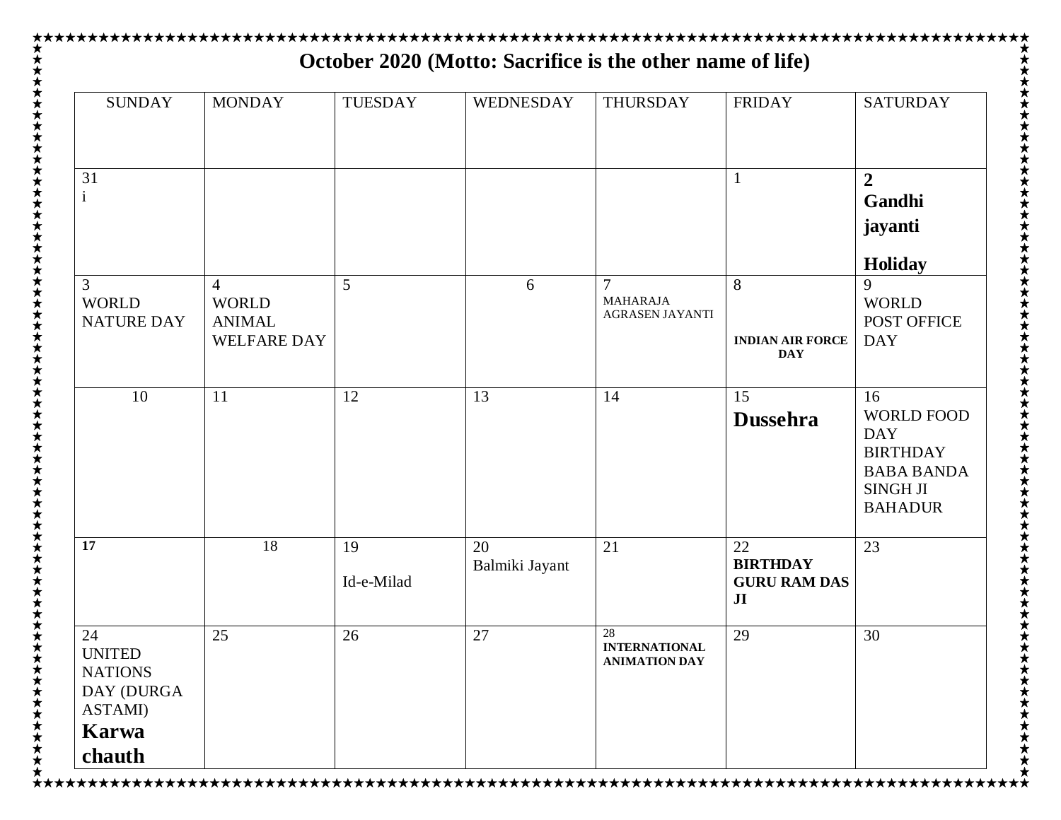| <b>SUNDAY</b>                                                           | <b>MONDAY</b>                                                         | <b>TUESDAY</b>   | WEDNESDAY            | <b>THURSDAY</b>                                             | <b>FRIDAY</b>                                                  | <b>SATURDAY</b>                                                                                                    |
|-------------------------------------------------------------------------|-----------------------------------------------------------------------|------------------|----------------------|-------------------------------------------------------------|----------------------------------------------------------------|--------------------------------------------------------------------------------------------------------------------|
|                                                                         |                                                                       |                  |                      |                                                             |                                                                |                                                                                                                    |
| 31<br>$\mathbf{1}$                                                      |                                                                       |                  |                      |                                                             |                                                                | $\overline{2}$<br>Gandhi<br>jayanti                                                                                |
|                                                                         |                                                                       |                  |                      |                                                             |                                                                | <b>Holiday</b>                                                                                                     |
| 3<br><b>WORLD</b><br><b>NATURE DAY</b>                                  | $\overline{4}$<br><b>WORLD</b><br><b>ANIMAL</b><br><b>WELFARE DAY</b> | 5                | 6                    | $\overline{7}$<br><b>MAHARAJA</b><br><b>AGRASEN JAYANTI</b> | 8<br><b>INDIAN AIR FORCE</b><br><b>DAY</b>                     | 9<br><b>WORLD</b><br>POST OFFICE<br><b>DAY</b>                                                                     |
| 10                                                                      | 11                                                                    | 12               | 13                   | 14                                                          | 15<br><b>Dussehra</b>                                          | 16<br><b>WORLD FOOD</b><br><b>DAY</b><br><b>BIRTHDAY</b><br><b>BABA BANDA</b><br><b>SINGH JI</b><br><b>BAHADUR</b> |
| 17                                                                      | 18                                                                    | 19<br>Id-e-Milad | 20<br>Balmiki Jayant | 21                                                          | 22<br><b>BIRTHDAY</b><br><b>GURU RAM DAS</b><br>J <sub>I</sub> | 23                                                                                                                 |
| 24<br><b>UNITED</b><br><b>NATIONS</b><br>DAY (DURGA<br>ASTAMI)<br>Karwa | 25                                                                    | 26               | 27                   | 28<br><b>INTERNATIONAL</b><br><b>ANIMATION DAY</b>          | 29                                                             | 30                                                                                                                 |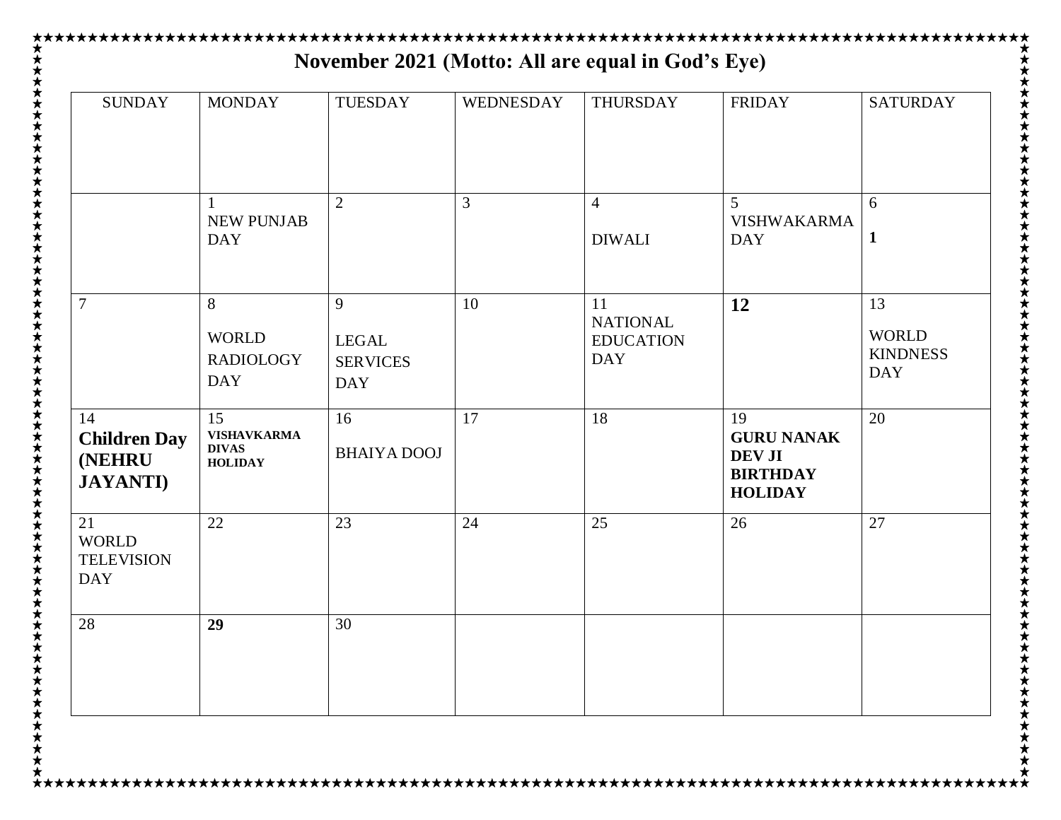| <b>SUNDAY</b>                                                   | <b>MONDAY</b>                                              | TUESDAY                                            | WEDNESDAY | THURSDAY                                                | <b>FRIDAY</b>                                                                 | <b>SATURDAY</b>                                     |
|-----------------------------------------------------------------|------------------------------------------------------------|----------------------------------------------------|-----------|---------------------------------------------------------|-------------------------------------------------------------------------------|-----------------------------------------------------|
|                                                                 | <b>NEW PUNJAB</b><br><b>DAY</b>                            | $\overline{2}$                                     | 3         | $\overline{4}$<br><b>DIWALI</b>                         | 5<br><b>VISHWAKARMA</b><br><b>DAY</b>                                         | 6<br>1                                              |
| $\overline{7}$                                                  | 8<br><b>WORLD</b><br><b>RADIOLOGY</b><br><b>DAY</b>        | 9<br><b>LEGAL</b><br><b>SERVICES</b><br><b>DAY</b> | 10        | 11<br><b>NATIONAL</b><br><b>EDUCATION</b><br><b>DAY</b> | 12                                                                            | 13<br><b>WORLD</b><br><b>KINDNESS</b><br><b>DAY</b> |
| 14<br><b>Children Day</b><br><b>(NEHRU)</b><br><b>JAYANTI</b> ) | 15<br><b>VISHAVKARMA</b><br><b>DIVAS</b><br><b>HOLIDAY</b> | 16<br><b>BHAIYA DOOJ</b>                           | 17        | 18                                                      | 19<br><b>GURU NANAK</b><br><b>DEV JI</b><br><b>BIRTHDAY</b><br><b>HOLIDAY</b> | 20                                                  |
| 21<br><b>WORLD</b><br><b>TELEVISION</b><br><b>DAY</b>           | 22                                                         | 23                                                 | 24        | 25                                                      | 26                                                                            | 27                                                  |
| 28                                                              | 29                                                         | 30                                                 |           |                                                         |                                                                               |                                                     |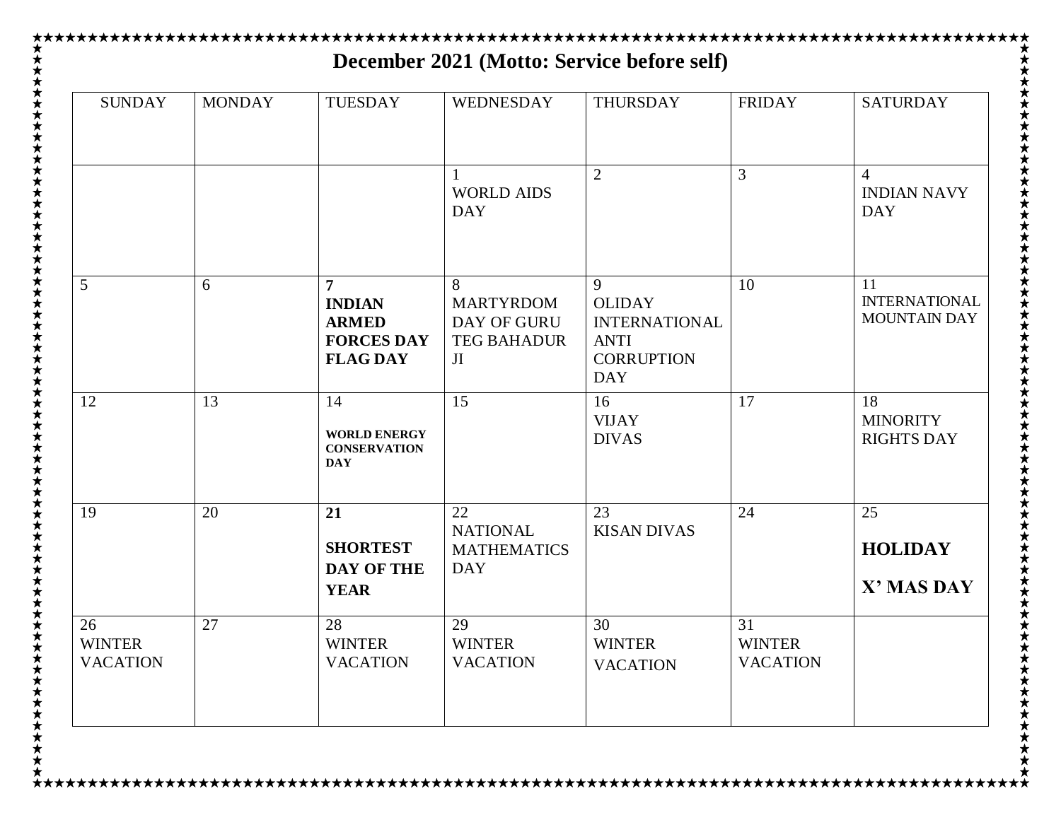| <b>SUNDAY</b>                          | <b>MONDAY</b> | <b>TUESDAY</b>                                                                          | <b>WEDNESDAY</b>                                                 | THURSDAY                                                                                     | <b>FRIDAY</b>                          | <b>SATURDAY</b>                                   |
|----------------------------------------|---------------|-----------------------------------------------------------------------------------------|------------------------------------------------------------------|----------------------------------------------------------------------------------------------|----------------------------------------|---------------------------------------------------|
|                                        |               |                                                                                         | <b>WORLD AIDS</b><br><b>DAY</b>                                  | $\overline{2}$                                                                               | 3                                      | 4<br><b>INDIAN NAVY</b><br><b>DAY</b>             |
| 5                                      | 6             | $\overline{7}$<br><b>INDIAN</b><br><b>ARMED</b><br><b>FORCES DAY</b><br><b>FLAG DAY</b> | 8<br><b>MARTYRDOM</b><br>DAY OF GURU<br><b>TEG BAHADUR</b><br>JI | 9<br><b>OLIDAY</b><br><b>INTERNATIONAL</b><br><b>ANTI</b><br><b>CORRUPTION</b><br><b>DAY</b> | 10                                     | 11<br><b>INTERNATIONAL</b><br><b>MOUNTAIN DAY</b> |
| 12                                     | 13            | 14<br><b>WORLD ENERGY</b><br><b>CONSERVATION</b><br><b>DAY</b>                          | 15                                                               | 16<br><b>VIJAY</b><br><b>DIVAS</b>                                                           | 17                                     | 18<br><b>MINORITY</b><br><b>RIGHTS DAY</b>        |
| 19                                     | 20            | 21<br><b>SHORTEST</b><br><b>DAY OF THE</b><br><b>YEAR</b>                               | 22<br><b>NATIONAL</b><br><b>MATHEMATICS</b><br><b>DAY</b>        | 23<br><b>KISAN DIVAS</b>                                                                     | 24                                     | 25<br><b>HOLIDAY</b><br>X' MAS DAY                |
| 26<br><b>WINTER</b><br><b>VACATION</b> | 27            | 28<br><b>WINTER</b><br><b>VACATION</b>                                                  | 29<br><b>WINTER</b><br><b>VACATION</b>                           | 30<br><b>WINTER</b><br><b>VACATION</b>                                                       | 31<br><b>WINTER</b><br><b>VACATION</b> |                                                   |

★  $\star$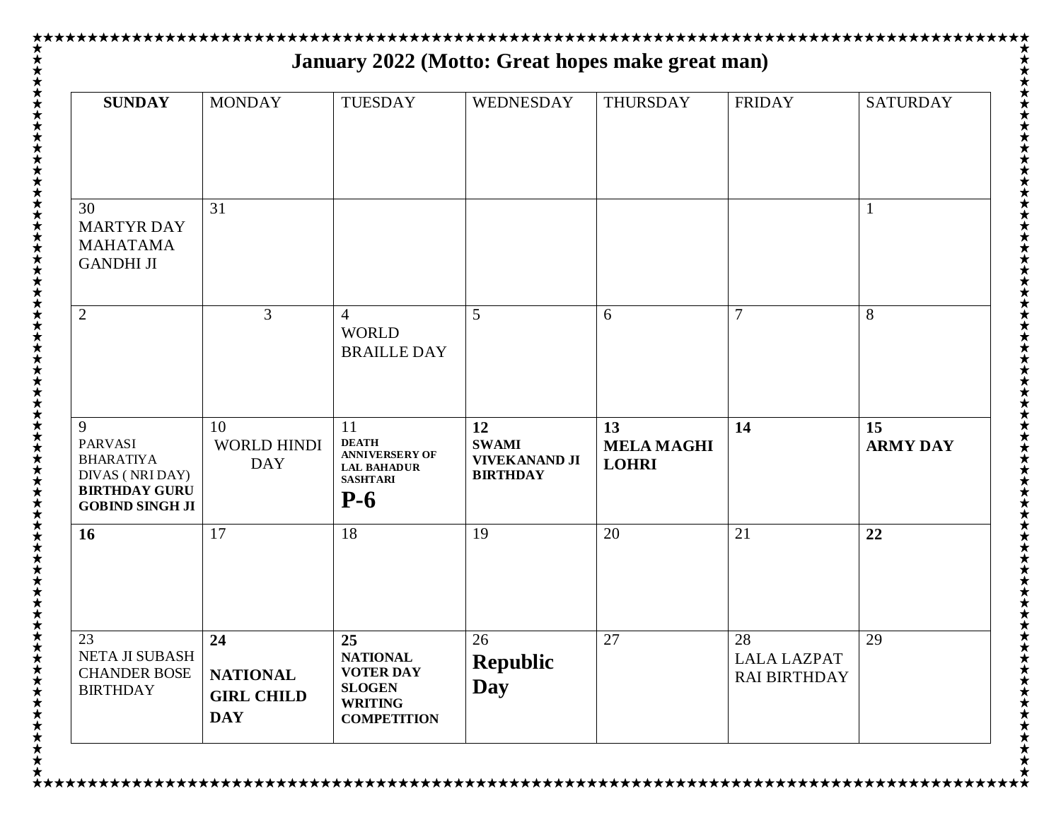| <b>SUNDAY</b>                                                                                                | <b>MONDAY</b>                                      | <b>TUESDAY</b>                                                                                | WEDNESDAY                                                     | <b>THURSDAY</b>                         | <b>FRIDAY</b>                             | <b>SATURDAY</b>       |
|--------------------------------------------------------------------------------------------------------------|----------------------------------------------------|-----------------------------------------------------------------------------------------------|---------------------------------------------------------------|-----------------------------------------|-------------------------------------------|-----------------------|
| 30<br><b>MARTYR DAY</b>                                                                                      | 31                                                 |                                                                                               |                                                               |                                         |                                           | $\mathbf{1}$          |
| <b>MAHATAMA</b><br><b>GANDHI JI</b>                                                                          |                                                    |                                                                                               |                                                               |                                         |                                           |                       |
| $\overline{2}$                                                                                               | $\overline{3}$                                     | $\overline{4}$<br><b>WORLD</b><br><b>BRAILLE DAY</b>                                          | 5                                                             | 6                                       | $\overline{7}$                            | 8                     |
| 9<br><b>PARVASI</b><br><b>BHARATIYA</b><br>DIVAS (NRI DAY)<br><b>BIRTHDAY GURU</b><br><b>GOBIND SINGH JI</b> | 10<br><b>WORLD HINDI</b><br><b>DAY</b>             | 11<br><b>DEATH</b><br><b>ANNIVERSERY OF</b><br><b>LAL BAHADUR</b><br><b>SASHTARI</b><br>$P-6$ | 12<br><b>SWAMI</b><br><b>VIVEKANAND JI</b><br><b>BIRTHDAY</b> | 13<br><b>MELA MAGHI</b><br><b>LOHRI</b> | 14                                        | 15<br><b>ARMY DAY</b> |
| 16                                                                                                           | 17                                                 | 18                                                                                            | 19                                                            | 20                                      | 21                                        | 22                    |
| 23                                                                                                           | 24                                                 | 25                                                                                            | 26                                                            | 27                                      | 28                                        | 29                    |
| NETA JI SUBASH<br><b>CHANDER BOSE</b><br><b>BIRTHDAY</b>                                                     | <b>NATIONAL</b><br><b>GIRL CHILD</b><br><b>DAY</b> | <b>NATIONAL</b><br><b>VOTER DAY</b><br><b>SLOGEN</b><br><b>WRITING</b><br><b>COMPETITION</b>  | <b>Republic</b><br><b>Day</b>                                 |                                         | <b>LALA LAZPAT</b><br><b>RAI BIRTHDAY</b> |                       |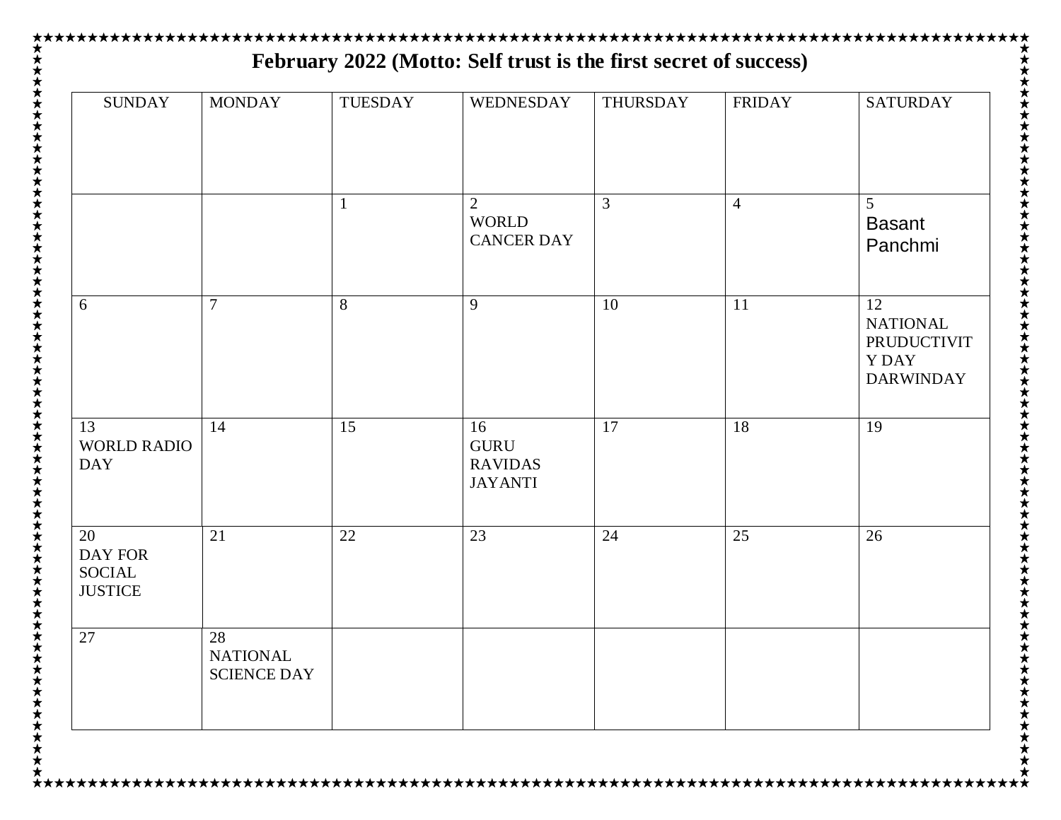| <b>SUNDAY</b>                                    | <b>MONDAY</b>                               | <b>TUESDAY</b> | WEDNESDAY                                             | THURSDAY | <b>FRIDAY</b>  | <b>SATURDAY</b>                                                         |
|--------------------------------------------------|---------------------------------------------|----------------|-------------------------------------------------------|----------|----------------|-------------------------------------------------------------------------|
|                                                  |                                             |                | $\overline{2}$<br><b>WORLD</b><br><b>CANCER DAY</b>   | 3        | $\overline{4}$ | 5<br><b>Basant</b><br>Panchmi                                           |
| 6                                                | $\overline{7}$                              | 8              | 9                                                     | 10       | 11             | 12<br><b>NATIONAL</b><br>PRUDUCTIVIT<br><b>YDAY</b><br><b>DARWINDAY</b> |
| 13<br><b>WORLD RADIO</b><br><b>DAY</b>           | 14                                          | 15             | 16<br><b>GURU</b><br><b>RAVIDAS</b><br><b>JAYANTI</b> | 17       | 18             | 19                                                                      |
| 20<br><b>DAY FOR</b><br>SOCIAL<br><b>JUSTICE</b> | 21                                          | 22             | 23                                                    | 24       | 25             | 26                                                                      |
| 27                                               | 28<br><b>NATIONAL</b><br><b>SCIENCE DAY</b> |                |                                                       |          |                |                                                                         |

★